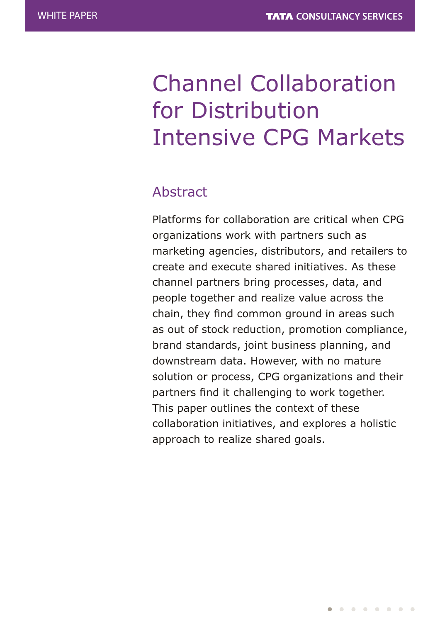# Channel Collaboration for Distribution Intensive CPG Markets

# Abstract

Platforms for collaboration are critical when CPG organizations work with partners such as marketing agencies, distributors, and retailers to create and execute shared initiatives. As these channel partners bring processes, data, and people together and realize value across the chain, they find common ground in areas such as out of stock reduction, promotion compliance, brand standards, joint business planning, and downstream data. However, with no mature solution or process, CPG organizations and their partners find it challenging to work together. This paper outlines the context of these collaboration initiatives, and explores a holistic approach to realize shared goals.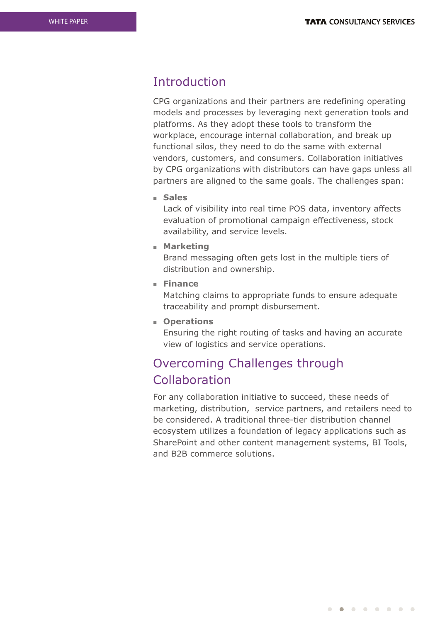## **Introduction**

CPG organizations and their partners are redefining operating models and processes by leveraging next generation tools and platforms. As they adopt these tools to transform the workplace, encourage internal collaboration, and break up functional silos, they need to do the same with external vendors, customers, and consumers. Collaboration initiatives by CPG organizations with distributors can have gaps unless all partners are aligned to the same goals. The challenges span:

<sup>n</sup> **Sales**

Lack of visibility into real time POS data, inventory affects evaluation of promotional campaign effectiveness, stock availability, and service levels.

**n** Marketing

Brand messaging often gets lost in the multiple tiers of distribution and ownership.

<sup>n</sup> **Finance**

Matching claims to appropriate funds to ensure adequate traceability and prompt disbursement.

<sup>n</sup> **Operations**

Ensuring the right routing of tasks and having an accurate view of logistics and service operations.

# Overcoming Challenges through Collaboration

For any collaboration initiative to succeed, these needs of marketing, distribution, service partners, and retailers need to be considered. A traditional three-tier distribution channel ecosystem utilizes a foundation of legacy applications such as SharePoint and other content management systems, BI Tools, and B2B commerce solutions.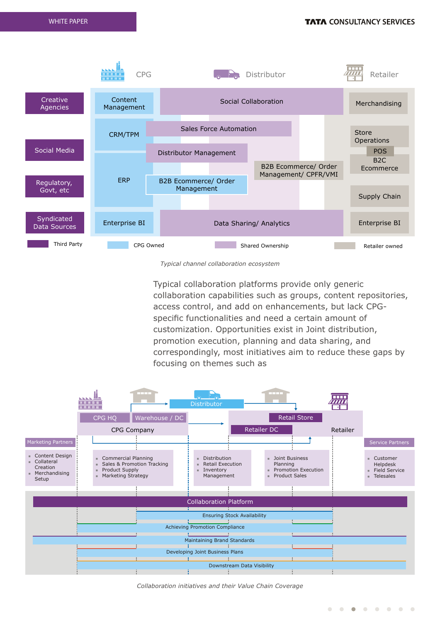

*Typical channel collaboration ecosystem*

Typical collaboration platforms provide only generic collaboration capabilities such as groups, content repositories, access control, and add on enhancements, but lack CPGspecific functionalities and need a certain amount of customization. Opportunities exist in Joint distribution, promotion execution, planning and data sharing, and correspondingly, most initiatives aim to reduce these gaps by focusing on themes such as



*Collaboration initiatives and their Value Chain Coverage*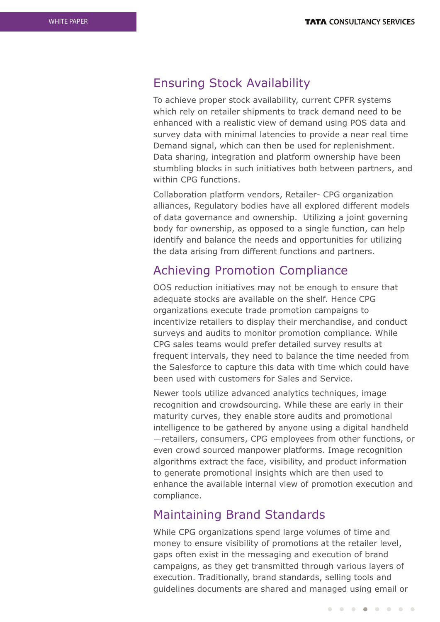## Ensuring Stock Availability

To achieve proper stock availability, current CPFR systems which rely on retailer shipments to track demand need to be enhanced with a realistic view of demand using POS data and survey data with minimal latencies to provide a near real time Demand signal, which can then be used for replenishment. Data sharing, integration and platform ownership have been stumbling blocks in such initiatives both between partners, and within CPG functions.

Collaboration platform vendors, Retailer- CPG organization alliances, Regulatory bodies have all explored different models of data governance and ownership. Utilizing a joint governing body for ownership, as opposed to a single function, can help identify and balance the needs and opportunities for utilizing the data arising from different functions and partners.

## Achieving Promotion Compliance

OOS reduction initiatives may not be enough to ensure that adequate stocks are available on the shelf. Hence CPG organizations execute trade promotion campaigns to incentivize retailers to display their merchandise, and conduct surveys and audits to monitor promotion compliance. While CPG sales teams would prefer detailed survey results at frequent intervals, they need to balance the time needed from the Salesforce to capture this data with time which could have been used with customers for Sales and Service.

Newer tools utilize advanced analytics techniques, image recognition and crowdsourcing. While these are early in their maturity curves, they enable store audits and promotional intelligence to be gathered by anyone using a digital handheld —retailers, consumers, CPG employees from other functions, or even crowd sourced manpower platforms. Image recognition algorithms extract the face, visibility, and product information to generate promotional insights which are then used to enhance the available internal view of promotion execution and compliance.

## Maintaining Brand Standards

While CPG organizations spend large volumes of time and money to ensure visibility of promotions at the retailer level, gaps often exist in the messaging and execution of brand campaigns, as they get transmitted through various layers of execution. Traditionally, brand standards, selling tools and guidelines documents are shared and managed using email or

. . . . . . . .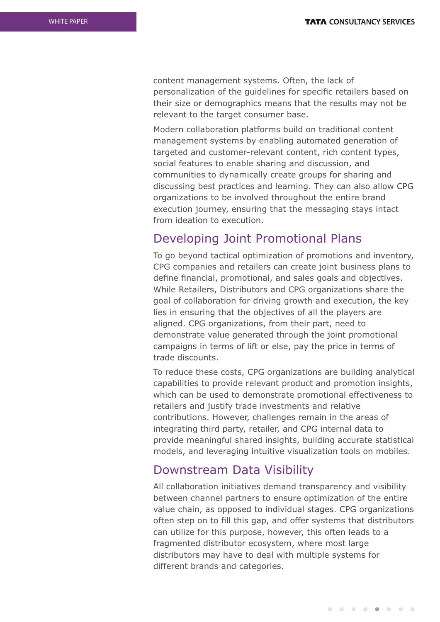content management systems. Often, the lack of personalization of the guidelines for specific retailers based on their size or demographics means that the results may not be relevant to the target consumer base.

Modern collaboration platforms build on traditional content management systems by enabling automated generation of targeted and customer-relevant content, rich content types, social features to enable sharing and discussion, and communities to dynamically create groups for sharing and discussing best practices and learning. They can also allow CPG organizations to be involved throughout the entire brand execution journey, ensuring that the messaging stays intact from ideation to execution.

## Developing Joint Promotional Plans

To go beyond tactical optimization of promotions and inventory, CPG companies and retailers can create joint business plans to define financial, promotional, and sales goals and objectives. While Retailers, Distributors and CPG organizations share the goal of collaboration for driving growth and execution, the key lies in ensuring that the objectives of all the players are aligned. CPG organizations, from their part, need to demonstrate value generated through the joint promotional campaigns in terms of lift or else, pay the price in terms of trade discounts.

To reduce these costs, CPG organizations are building analytical capabilities to provide relevant product and promotion insights, which can be used to demonstrate promotional effectiveness to retailers and justify trade investments and relative contributions. However, challenges remain in the areas of integrating third party, retailer, and CPG internal data to provide meaningful shared insights, building accurate statistical models, and leveraging intuitive visualization tools on mobiles.

#### Downstream Data Visibility

All collaboration initiatives demand transparency and visibility between channel partners to ensure optimization of the entire value chain, as opposed to individual stages. CPG organizations often step on to fill this gap, and offer systems that distributors can utilize for this purpose, however, this often leads to a fragmented distributor ecosystem, where most large distributors may have to deal with multiple systems for different brands and categories.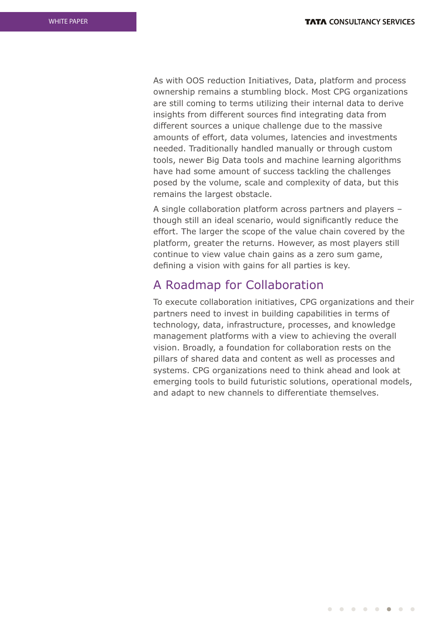As with OOS reduction Initiatives, Data, platform and process ownership remains a stumbling block. Most CPG organizations are still coming to terms utilizing their internal data to derive insights from different sources find integrating data from different sources a unique challenge due to the massive amounts of effort, data volumes, latencies and investments needed. Traditionally handled manually or through custom tools, newer Big Data tools and machine learning algorithms have had some amount of success tackling the challenges posed by the volume, scale and complexity of data, but this remains the largest obstacle.

A single collaboration platform across partners and players – though still an ideal scenario, would significantly reduce the effort. The larger the scope of the value chain covered by the platform, greater the returns. However, as most players still continue to view value chain gains as a zero sum game, defining a vision with gains for all parties is key.

## A Roadmap for Collaboration

To execute collaboration initiatives, CPG organizations and their partners need to invest in building capabilities in terms of technology, data, infrastructure, processes, and knowledge management platforms with a view to achieving the overall vision. Broadly, a foundation for collaboration rests on the pillars of shared data and content as well as processes and systems. CPG organizations need to think ahead and look at emerging tools to build futuristic solutions, operational models, and adapt to new channels to differentiate themselves.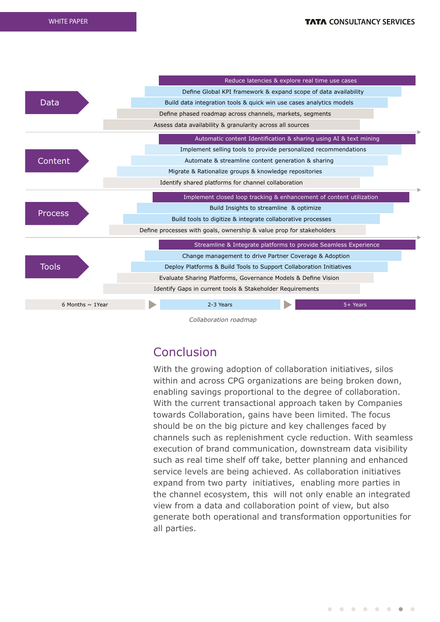

*Collaboration roadmap*

# Conclusion

With the growing adoption of collaboration initiatives, silos within and across CPG organizations are being broken down, enabling savings proportional to the degree of collaboration. With the current transactional approach taken by Companies towards Collaboration, gains have been limited. The focus should be on the big picture and key challenges faced by channels such as replenishment cycle reduction. With seamless execution of brand communication, downstream data visibility such as real time shelf off take, better planning and enhanced service levels are being achieved. As collaboration initiatives expand from two party initiatives, enabling more parties in the channel ecosystem, this will not only enable an integrated view from a data and collaboration point of view, but also generate both operational and transformation opportunities for all parties.

. . . . . . . .